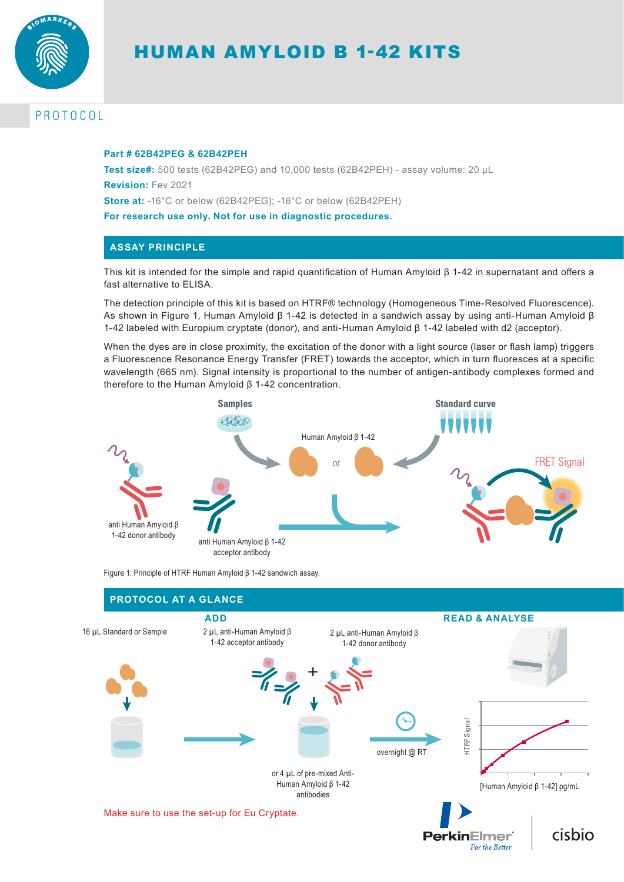

# HUMAN AMYLOID Β 1-42 KITS

# PROTOCOL

#### **Part # 62B42PEG & 62B42PEH**

**Test size#:** 500 tests (62B42PEG) and 10,000 tests (62B42PEH) - assay volume: 20 µL **Revision:** Fev 2021 **Store at:** -16°C or below (62B42PEG); -16°C or below (62B42PEH) **For research use only. Not for use in diagnostic procedures.**

# **ASSAY PRINCIPLE**

This kit is intended for the simple and rapid quantification of Human Amyloid β 1-42 in supernatant and offers a fast alternative to ELISA.

The detection principle of this kit is based on HTRF® technology (Homogeneous Time-Resolved Fluorescence). As shown in Figure 1, Human Amyloid β 1-42 is detected in a sandwich assay by using anti-Human Amyloid β 1-42 labeled with Europium cryptate (donor), and anti-Human Amyloid β 1-42 labeled with d2 (acceptor).

When the dyes are in close proximity, the excitation of the donor with a light source (laser or flash lamp) triggers a Fluorescence Resonance Energy Transfer (FRET) towards the acceptor, which in turn fluoresces at a specific wavelength (665 nm). Signal intensity is proportional to the number of antigen-antibody complexes formed and therefore to the Human Amyloid β 1-42 concentration.



Figure 1: Principle of HTRF Human Amyloid β 1-42 sandwich assay.

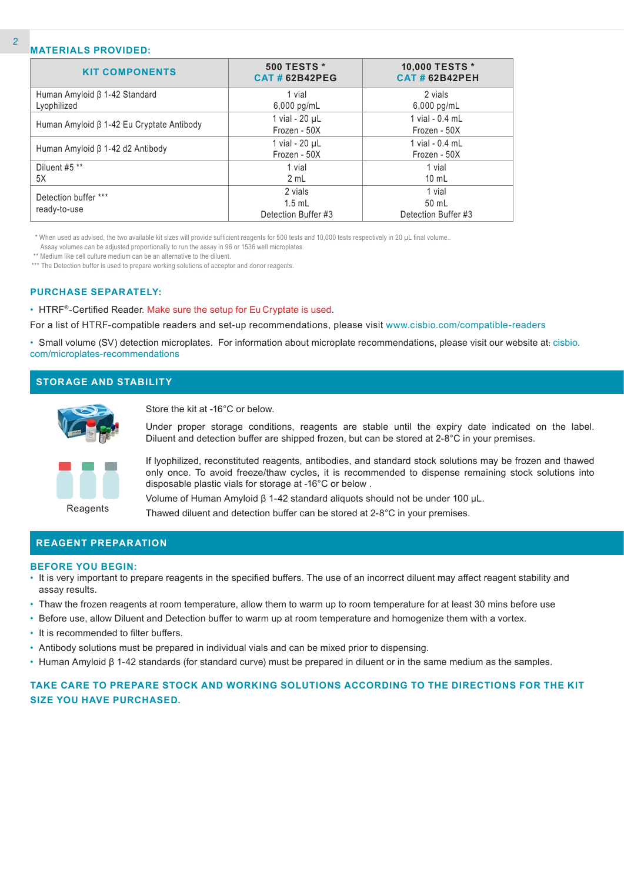# **MATERIALS PROVIDED:**

| <b>KIT COMPONENTS</b>                           | <b>500 TESTS *</b><br><b>CAT#62B42PEG</b> | 10,000 TESTS *<br><b>CAT # 62B42PEH</b> |
|-------------------------------------------------|-------------------------------------------|-----------------------------------------|
| Human Amyloid β 1-42 Standard                   | 1 vial                                    | 2 vials                                 |
| Lyophilized                                     | $6,000$ pg/mL                             | $6,000$ pg/mL                           |
| Human Amyloid $\beta$ 1-42 Eu Cryptate Antibody | 1 vial - $20 \mu L$                       | 1 vial - 0.4 mL                         |
|                                                 | Frozen - 50X                              | Frozen - 50X                            |
| Human Amyloid β 1-42 d2 Antibody                | 1 vial - $20 \mu L$                       | 1 vial - 0.4 mL                         |
|                                                 | Frozen - 50X                              | Frozen - 50X                            |
| Diluent #5 **                                   | 1 vial                                    | 1 vial                                  |
| 5X                                              | 2 mL                                      | $10 \text{ mL}$                         |
| Detection buffer ***                            | 2 vials                                   | 1 vial                                  |
|                                                 | $1.5$ mL                                  | 50 mL                                   |
| ready-to-use                                    | Detection Buffer #3                       | Detection Buffer #3                     |

\* When used as advised, the two available kit sizes will provide sufficient reagents for 500 tests and 10,000 tests respectively in 20 µL final volume..

Assay volumes can be adjusted proportionally to run the assay in 96 or 1536 well microplates.

\*\* Medium like cell culture medium can be an alternative to the diluent.

\*\*\* The Detection buffer is used to prepare working solutions of acceptor and donor reagents.

#### **PURCHASE SEPARATELY:**

• HTRF®-Certified Reader. Make sure the setup for Eu Cryptate is used.

For a list of HTRF-compatible readers and set-up recommendations, please visit www.cisbio.com/compatible-readers

• Small volume (SV) detection microplates. For information about microplate recommendations, please visit our website at: cisbio. com/microplates-recommendations

# **STORAGE AND STABILITY**



Store the kit at -16°C or below.

Under proper storage conditions, reagents are stable until the expiry date indicated on the label. Diluent and detection buffer are shipped frozen, but can be stored at 2-8°C in your premises.



If lyophilized, reconstituted reagents, antibodies, and standard stock solutions may be frozen and thawed only once. To avoid freeze/thaw cycles, it is recommended to dispense remaining stock solutions into disposable plastic vials for storage at -16°C or below .

Volume of Human Amyloid β 1-42 standard aliquots should not be under 100 µL.

Thawed diluent and detection buffer can be stored at 2-8°C in your premises.

### **REAGENT PREPARATION**

#### **BEFORE YOU BEGIN:**

- It is very important to prepare reagents in the specified buffers. The use of an incorrect diluent may affect reagent stability and assay results.
- Thaw the frozen reagents at room temperature, allow them to warm up to room temperature for at least 30 mins before use
- Before use, allow Diluent and Detection buffer to warm up at room temperature and homogenize them with a vortex.
- It is recommended to filter buffers.
- Antibody solutions must be prepared in individual vials and can be mixed prior to dispensing.
- Human Amyloid β 1-42 standards (for standard curve) must be prepared in diluent or in the same medium as the samples.

# **TAKE CARE TO PREPARE STOCK AND WORKING SOLUTIONS ACCORDING TO THE DIRECTIONS FOR THE KIT SIZE YOU HAVE PURCHASED.**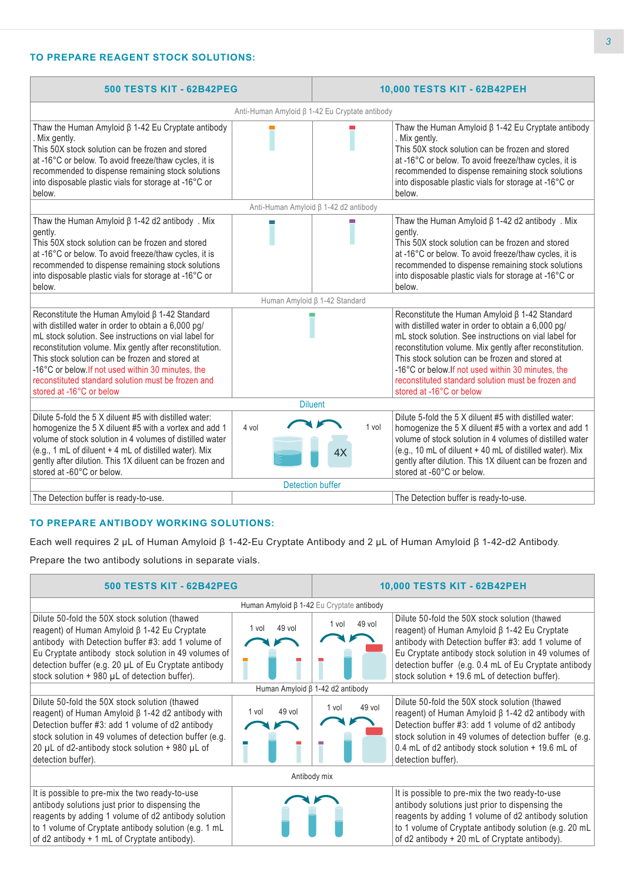# **TO PREPARE REAGENT STOCK SOLUTIONS:**

| <b>500 TESTS KIT - 62B42PEG</b>                                                                                                                                                                                                                                                                                                                                                                                            |                                                | 10,000 TESTS KIT - 62B42PEH |                                                                                                                                                                                                                                                                                                                                                                                                                            |  |  |
|----------------------------------------------------------------------------------------------------------------------------------------------------------------------------------------------------------------------------------------------------------------------------------------------------------------------------------------------------------------------------------------------------------------------------|------------------------------------------------|-----------------------------|----------------------------------------------------------------------------------------------------------------------------------------------------------------------------------------------------------------------------------------------------------------------------------------------------------------------------------------------------------------------------------------------------------------------------|--|--|
|                                                                                                                                                                                                                                                                                                                                                                                                                            | Anti-Human Amyloid β 1-42 Eu Cryptate antibody |                             |                                                                                                                                                                                                                                                                                                                                                                                                                            |  |  |
| Thaw the Human Amyloid $\beta$ 1-42 Eu Cryptate antibody<br>. Mix gently.<br>This 50X stock solution can be frozen and stored<br>at -16°C or below. To avoid freeze/thaw cycles, it is<br>recommended to dispense remaining stock solutions<br>into disposable plastic vials for storage at -16°C or<br>below.                                                                                                             |                                                |                             | Thaw the Human Amyloid $\beta$ 1-42 Eu Cryptate antibody<br>. Mix gently.<br>This 50X stock solution can be frozen and stored<br>at -16°C or below. To avoid freeze/thaw cycles, it is<br>recommended to dispense remaining stock solutions<br>into disposable plastic vials for storage at -16°C or<br>below.                                                                                                             |  |  |
|                                                                                                                                                                                                                                                                                                                                                                                                                            | Anti-Human Amyloid β 1-42 d2 antibody          |                             |                                                                                                                                                                                                                                                                                                                                                                                                                            |  |  |
| Thaw the Human Amyloid $\beta$ 1-42 d2 antibody . Mix<br>gently.<br>This 50X stock solution can be frozen and stored<br>at -16°C or below. To avoid freeze/thaw cycles, it is<br>recommended to dispense remaining stock solutions<br>into disposable plastic vials for storage at -16°C or<br>below.                                                                                                                      |                                                |                             | Thaw the Human Amyloid $\beta$ 1-42 d2 antibody . Mix<br>gently.<br>This 50X stock solution can be frozen and stored<br>at -16°C or below. To avoid freeze/thaw cycles, it is<br>recommended to dispense remaining stock solutions<br>into disposable plastic vials for storage at -16°C or<br>below.                                                                                                                      |  |  |
| Human Amyloid β 1-42 Standard                                                                                                                                                                                                                                                                                                                                                                                              |                                                |                             |                                                                                                                                                                                                                                                                                                                                                                                                                            |  |  |
| Reconstitute the Human Amyloid $\beta$ 1-42 Standard<br>with distilled water in order to obtain a 6,000 pg/<br>mL stock solution. See instructions on vial label for<br>reconstitution volume. Mix gently after reconstitution.<br>This stock solution can be frozen and stored at<br>-16°C or below. If not used within 30 minutes, the<br>reconstituted standard solution must be frozen and<br>stored at -16°C or below |                                                |                             | Reconstitute the Human Amyloid $\beta$ 1-42 Standard<br>with distilled water in order to obtain a 6,000 pg/<br>mL stock solution. See instructions on vial label for<br>reconstitution volume. Mix gently after reconstitution.<br>This stock solution can be frozen and stored at<br>-16°C or below. If not used within 30 minutes, the<br>reconstituted standard solution must be frozen and<br>stored at -16°C or below |  |  |
| <b>Diluent</b>                                                                                                                                                                                                                                                                                                                                                                                                             |                                                |                             |                                                                                                                                                                                                                                                                                                                                                                                                                            |  |  |
| Dilute 5-fold the 5 X diluent #5 with distilled water:<br>homogenize the 5 X diluent #5 with a vortex and add 1<br>volume of stock solution in 4 volumes of distilled water<br>(e.g., 1 mL of diluent + 4 mL of distilled water). Mix<br>gently after dilution. This 1X diluent can be frozen and<br>stored at -60°C or below.                                                                                             | 4 vol                                          | 1 vol<br>4Х                 | Dilute 5-fold the 5 X diluent #5 with distilled water:<br>homogenize the 5 X diluent #5 with a vortex and add 1<br>volume of stock solution in 4 volumes of distilled water<br>(e.g., 10 mL of diluent + 40 mL of distilled water). Mix<br>gently after dilution. This 1X diluent can be frozen and<br>stored at -60°C or below.                                                                                           |  |  |
|                                                                                                                                                                                                                                                                                                                                                                                                                            | <b>Detection buffer</b>                        |                             |                                                                                                                                                                                                                                                                                                                                                                                                                            |  |  |
| The Detection buffer is ready-to-use.                                                                                                                                                                                                                                                                                                                                                                                      |                                                |                             | The Detection buffer is ready-to-use.                                                                                                                                                                                                                                                                                                                                                                                      |  |  |

# **TO PREPARE ANTIBODY WORKING SOLUTIONS:**

Each well requires 2 µL of Human Amyloid β 1-42-Eu Cryptate Antibody and 2 µL of Human Amyloid β 1-42-d2 Antibody.

Prepare the two antibody solutions in separate vials.

| <b>500 TESTS KIT - 62B42PEG</b>                                                                                                                                                                                                                                                                                            |                 |                                                 | 10,000 TESTS KIT - 62B42PEH                                                                                                                                                                                                                                                                                                  |  |
|----------------------------------------------------------------------------------------------------------------------------------------------------------------------------------------------------------------------------------------------------------------------------------------------------------------------------|-----------------|-------------------------------------------------|------------------------------------------------------------------------------------------------------------------------------------------------------------------------------------------------------------------------------------------------------------------------------------------------------------------------------|--|
|                                                                                                                                                                                                                                                                                                                            |                 | Human Amyloid $\beta$ 1-42 Eu Cryptate antibody |                                                                                                                                                                                                                                                                                                                              |  |
| Dilute 50-fold the 50X stock solution (thawed<br>reagent) of Human Amyloid $\beta$ 1-42 Eu Cryptate<br>antibody with Detection buffer #3: add 1 volume of<br>Eu Cryptate antibody stock solution in 49 volumes of<br>detection buffer (e.g. 20 µL of Eu Cryptate antibody<br>stock solution + 980 µL of detection buffer). | 49 vol<br>1 vol | 49 vol<br>1 vol                                 | Dilute 50-fold the 50X stock solution (thawed<br>reagent) of Human Amyloid $\beta$ 1-42 Eu Cryptate<br>antibody with Detection buffer #3: add 1 volume of<br>Eu Cryptate antibody stock solution in 49 volumes of<br>detection buffer (e.g. 0.4 mL of Eu Cryptate antibody<br>stock solution + 19.6 mL of detection buffer). |  |
| Human Amyloid β 1-42 d2 antibody                                                                                                                                                                                                                                                                                           |                 |                                                 |                                                                                                                                                                                                                                                                                                                              |  |
| Dilute 50-fold the 50X stock solution (thawed<br>reagent) of Human Amyloid $\beta$ 1-42 d2 antibody with<br>Detection buffer #3: add 1 volume of d2 antibody<br>stock solution in 49 volumes of detection buffer (e.g.<br>20 µL of d2-antibody stock solution $+$ 980 µL of<br>detection buffer).                          | 49 vol<br>1 vol | 49 vol<br>1 vol                                 | Dilute 50-fold the 50X stock solution (thawed<br>reagent) of Human Amyloid $\beta$ 1-42 d2 antibody with<br>Detection buffer #3: add 1 volume of d2 antibody<br>stock solution in 49 volumes of detection buffer (e.g.<br>0.4 mL of d2 antibody stock solution + 19.6 mL of<br>detection buffer).                            |  |
| Antibody mix                                                                                                                                                                                                                                                                                                               |                 |                                                 |                                                                                                                                                                                                                                                                                                                              |  |
| It is possible to pre-mix the two ready-to-use<br>antibody solutions just prior to dispensing the<br>reagents by adding 1 volume of d2 antibody solution<br>to 1 volume of Cryptate antibody solution (e.g. 1 mL<br>of d2 antibody + 1 mL of Cryptate antibody).                                                           |                 |                                                 | It is possible to pre-mix the two ready-to-use<br>antibody solutions just prior to dispensing the<br>reagents by adding 1 volume of d2 antibody solution<br>to 1 volume of Cryptate antibody solution (e.g. 20 mL<br>of d2 antibody + 20 mL of Cryptate antibody).                                                           |  |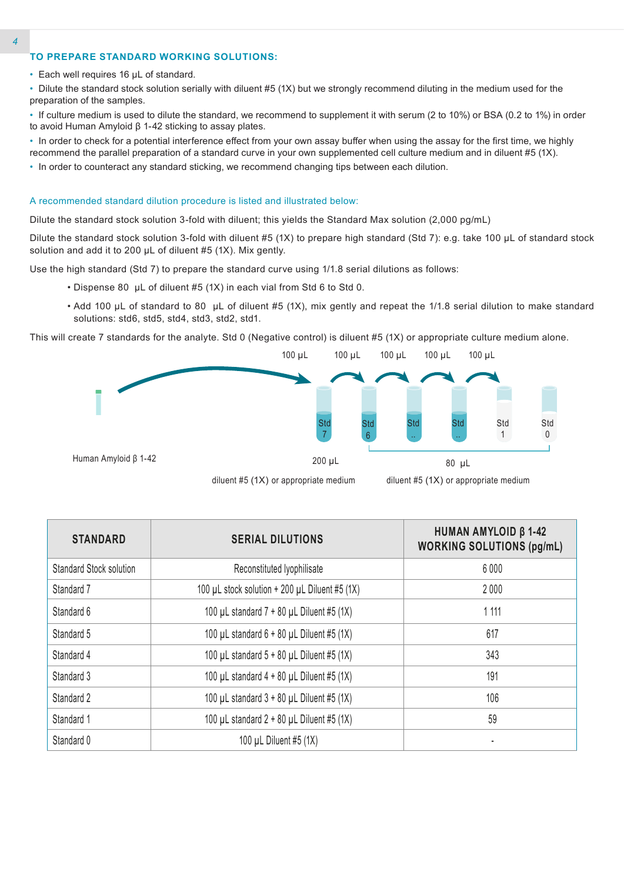# **TO PREPARE STANDARD WORKING SOLUTIONS:**

• Each well requires 16 µL of standard.

• Dilute the standard stock solution serially with diluent #5 (1X) but we strongly recommend diluting in the medium used for the preparation of the samples.

• If culture medium is used to dilute the standard, we recommend to supplement it with serum (2 to 10%) or BSA (0.2 to 1%) in order to avoid Human Amyloid β 1-42 sticking to assay plates.

• In order to check for a potential interference effect from your own assay buffer when using the assay for the first time, we highly recommend the parallel preparation of a standard curve in your own supplemented cell culture medium and in diluent #5 (1X).

• In order to counteract any standard sticking, we recommend changing tips between each dilution.

### A recommended standard dilution procedure is listed and illustrated below:

Dilute the standard stock solution 3-fold with diluent; this yields the Standard Max solution (2,000 pg/mL)

Dilute the standard stock solution 3-fold with diluent #5 (1X) to prepare high standard (Std 7): e.g. take 100 µL of standard stock solution and add it to 200 uL of diluent #5 (1X). Mix gently.

Use the high standard (Std 7) to prepare the standard curve using 1/1.8 serial dilutions as follows:

- Dispense 80 µL of diluent #5 (1X) in each vial from Std 6 to Std 0.
- Add 100 µL of standard to 80 µL of diluent #5 (1X), mix gently and repeat the 1/1.8 serial dilution to make standard solutions: std6, std5, std4, std3, std2, std1.

This will create 7 standards for the analyte. Std 0 (Negative control) is diluent #5 (1X) or appropriate culture medium alone.





diluent #5 (1X) or appropriate medium

| <b>STANDARD</b>                | <b>SERIAL DILUTIONS</b>                        | <b>HUMAN AMYLOID β 1-42</b><br><b>WORKING SOLUTIONS (pg/mL)</b> |
|--------------------------------|------------------------------------------------|-----------------------------------------------------------------|
| <b>Standard Stock solution</b> | Reconstituted Iyophilisate                     | 6 0 0 0                                                         |
| Standard 7                     | 100 µL stock solution + 200 µL Diluent #5 (1X) | 2000                                                            |
| Standard 6                     | 100 µL standard $7 + 80$ µL Diluent #5 (1X)    | 1 1 1 1                                                         |
| Standard 5                     | 100 µL standard $6 + 80$ µL Diluent #5 (1X)    | 617                                                             |
| Standard 4                     | 100 µL standard $5 + 80$ µL Diluent #5 (1X)    | 343                                                             |
| Standard 3                     | 100 µL standard $4 + 80$ µL Diluent #5 (1X)    | 191                                                             |
| Standard 2                     | 100 µL standard 3 + 80 µL Diluent #5 (1X)      | 106                                                             |
| Standard 1                     | 100 µL standard $2 + 80$ µL Diluent #5 (1X)    | 59                                                              |
| Standard 0                     | 100 µL Diluent #5 (1X)                         |                                                                 |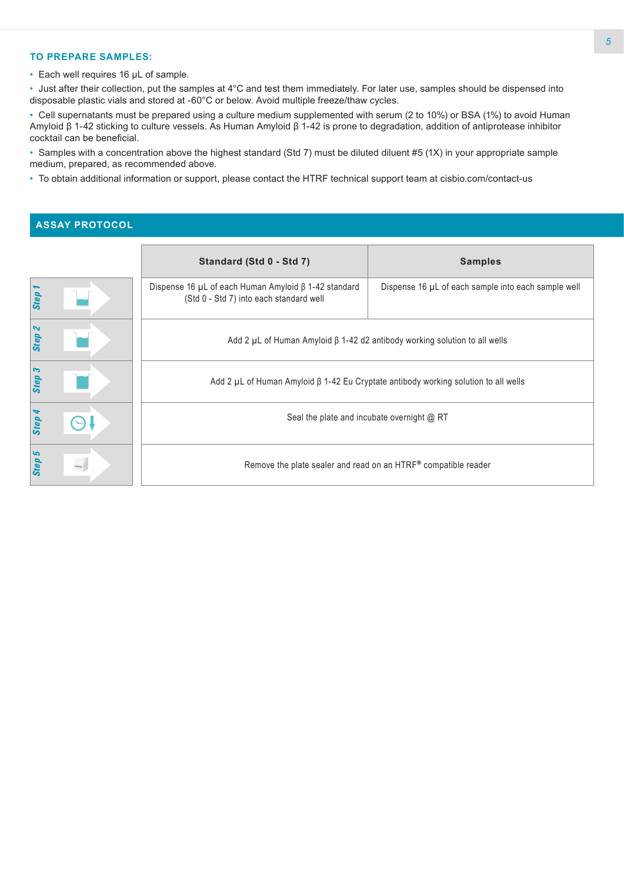# **TO PREPARE SAMPLES:**

• Each well requires 16 µL of sample.

• Just after their collection, put the samples at 4°C and test them immediately. For later use, samples should be dispensed into disposable plastic vials and stored at -60°C or below. Avoid multiple freeze/thaw cycles.

• Cell supernatants must be prepared using a culture medium supplemented with serum (2 to 10%) or BSA (1%) to avoid Human Amyloid β 1-42 sticking to culture vessels. As Human Amyloid β 1-42 is prone to degradation, addition of antiprotease inhibitor cocktail can be beneficial.

• Samples with a concentration above the highest standard (Std 7) must be diluted diluent #5 (1X) in your appropriate sample medium, prepared, as recommended above.

• To obtain additional information or support, please contact the HTRF technical support team at cisbio.com/contact-us

# **ASSAY PROTOCOL**

|                | Standard (Std 0 - Std 7)                                                                                   | <b>Samples</b>                                                 |  |  |  |
|----------------|------------------------------------------------------------------------------------------------------------|----------------------------------------------------------------|--|--|--|
| Step           | Dispense 16 $\mu$ L of each Human Amyloid $\beta$ 1-42 standard<br>(Std 0 - Std 7) into each standard well | Dispense 16 µL of each sample into each sample well            |  |  |  |
| $\sim$<br>Step | Add 2 $\mu$ L of Human Amyloid $\beta$ 1-42 d2 antibody working solution to all wells                      |                                                                |  |  |  |
| Step 3         | Add 2 $\mu$ L of Human Amyloid $\beta$ 1-42 Eu Cryptate antibody working solution to all wells             |                                                                |  |  |  |
| Step           | Seal the plate and incubate overnight @ RT                                                                 |                                                                |  |  |  |
| S<br>Step      |                                                                                                            | Remove the plate sealer and read on an HTRF® compatible reader |  |  |  |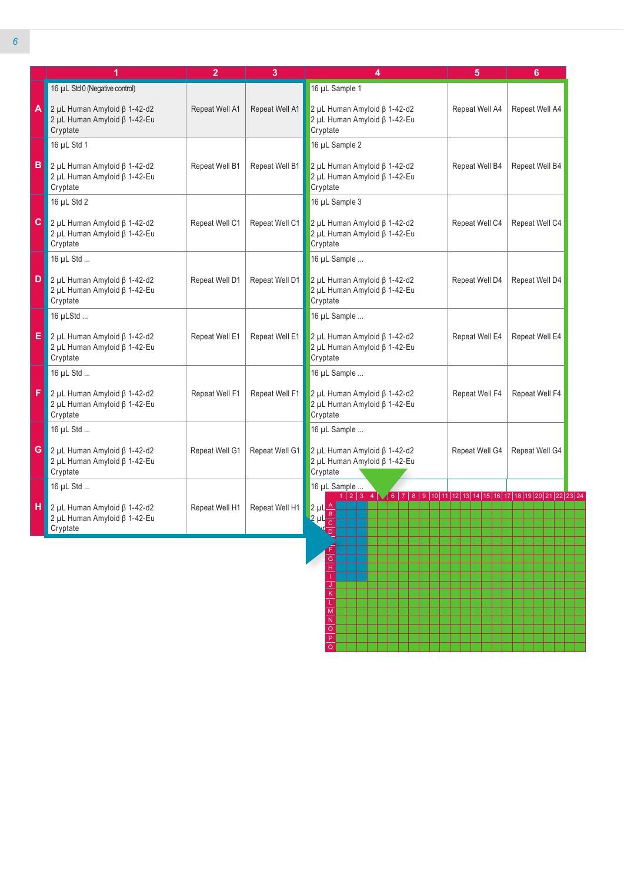|   | 1                                                                                             | $\overline{2}$ | 3              | 4                                                                                                                                                                                                                                                                                             | 5              | 6              |
|---|-----------------------------------------------------------------------------------------------|----------------|----------------|-----------------------------------------------------------------------------------------------------------------------------------------------------------------------------------------------------------------------------------------------------------------------------------------------|----------------|----------------|
|   | 16 µL Std 0 (Negative control)                                                                |                |                | 16 µL Sample 1                                                                                                                                                                                                                                                                                |                |                |
|   | $\Delta$ 2 µL Human Amyloid $\beta$ 1-42-d2<br>2 μL Human Amyloid β 1-42-Eu<br>Cryptate       | Repeat Well A1 | Repeat Well A1 | 2 µL Human Amyloid ß 1-42-d2<br>$2$ µL Human Amyloid $\beta$ 1-42-Eu<br>Cryptate                                                                                                                                                                                                              | Repeat Well A4 | Repeat Well A4 |
|   | 16 µL Std 1                                                                                   |                |                | 16 µL Sample 2                                                                                                                                                                                                                                                                                |                |                |
|   | $\overline{B}$ 2 µL Human Amyloid $\beta$ 1-42-d2<br>2 μL Human Amyloid β 1-42-Eu<br>Cryptate | Repeat Well B1 | Repeat Well B1 | 2 µL Human Amyloid ß 1-42-d2<br>2 μL Human Amyloid β 1-42-Eu<br>Cryptate                                                                                                                                                                                                                      | Repeat Well B4 | Repeat Well B4 |
|   | 16 µL Std 2                                                                                   |                |                | 16 µL Sample 3                                                                                                                                                                                                                                                                                |                |                |
|   | C $2 \mu L$ Human Amyloid $\beta$ 1-42-d2<br>2 μL Human Amyloid β 1-42-Eu<br>Cryptate         | Repeat Well C1 | Repeat Well C1 | 2 μL Human Amyloid β 1-42-d2<br>2 μL Human Amyloid β 1-42-Eu<br>Cryptate                                                                                                                                                                                                                      | Repeat Well C4 | Repeat Well C4 |
|   | 16 µL Std                                                                                     |                |                | 16 µL Sample                                                                                                                                                                                                                                                                                  |                |                |
| D | $2$ µL Human Amyloid $\beta$ 1-42-d2<br>2 μL Human Amyloid β 1-42-Eu<br>Cryptate              | Repeat Well D1 | Repeat Well D1 | 2 μL Human Amyloid β 1-42-d2<br>$2$ µL Human Amyloid $\beta$ 1-42-Eu<br>Cryptate                                                                                                                                                                                                              | Repeat Well D4 | Repeat Well D4 |
|   | 16 µLStd                                                                                      |                |                | 16 µL Sample                                                                                                                                                                                                                                                                                  |                |                |
|   | $\overline{E}$ 2 µL Human Amyloid $\beta$ 1-42-d2<br>2 μL Human Amyloid β 1-42-Eu<br>Cryptate | Repeat Well E1 | Repeat Well E1 | 2 μL Human Amyloid β 1-42-d2<br>2 μL Human Amyloid β 1-42-Eu<br>Cryptate                                                                                                                                                                                                                      | Repeat Well E4 | Repeat Well E4 |
|   | 16 µL Std                                                                                     |                |                | 16 µL Sample                                                                                                                                                                                                                                                                                  |                |                |
| F | $2$ µL Human Amyloid $\beta$ 1-42-d2<br>2 μL Human Amyloid β 1-42-Eu<br>Cryptate              | Repeat Well F1 | Repeat Well F1 | 2 μL Human Amyloid β 1-42-d2<br>2 μL Human Amyloid β 1-42-Eu<br>Cryptate                                                                                                                                                                                                                      | Repeat Well F4 | Repeat Well F4 |
|   | 16 µL Std                                                                                     |                |                | 16 µL Sample                                                                                                                                                                                                                                                                                  |                |                |
|   | G $2 \mu L$ Human Amyloid $\beta$ 1-42-d2<br>2 μL Human Amyloid β 1-42-Eu<br>Cryptate         | Repeat Well G1 | Repeat Well G1 | 2 μL Human Amyloid β 1-42-d2<br>2 μL Human Amyloid β 1-42-Eu<br>Cryptate                                                                                                                                                                                                                      | Repeat Well G4 | Repeat Well G4 |
|   | 16 µL Std                                                                                     |                |                | 16 µL Sample                                                                                                                                                                                                                                                                                  |                |                |
| н | $\sqrt{2}$ µL Human Amyloid $\beta$ 1-42-d2<br>2 μL Human Amyloid β 1-42-Eu<br>Cryptate       | Repeat Well H1 | Repeat Well H1 | $1\mid 2\mid 3\mid 4$ $\mid$ $\mid$ 6 $\mid$ 7 $\mid$ 8 $\mid$ 9 $\mid$ 10 $\mid$ 11 $\mid$ 12 $\mid$ 13 $\mid$ 14 $\mid$ 15 $\mid$ 16 $\mid$ 17 $\mid$ 18 $\mid$ 19 $\mid$ 20 $\mid$ 21 $\mid$ 22 $\mid$ 23 $\mid$ 24<br>$\frac{2 \mu L \frac{A}{B}}{2 \mu L \frac{B}{C}}$<br>$\overline{D}$ |                |                |

L M N O P Q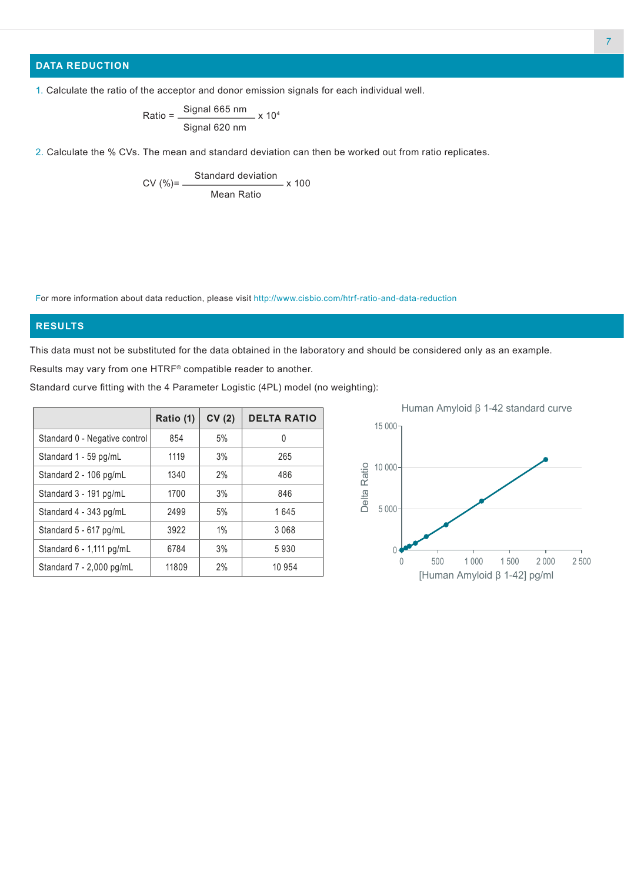# **DATA REDUCTION**

1. Calculate the ratio of the acceptor and donor emission signals for each individual well.

Ratio = 
$$
\frac{\text{Signal 665 nm}}{\text{Signal 620 nm}} \times 10^4
$$

2. Calculate the % CVs. The mean and standard deviation can then be worked out from ratio replicates.

$$
CV (%) = \frac{Standard deviation}{Mean Ratio} \times 100
$$

For more information about data reduction, please visit http://www.cisbio.com/htrf-ratio-and-data-reduction

# **RESULTS**

This data must not be substituted for the data obtained in the laboratory and should be considered only as an example. Results may vary from one HTRF® compatible reader to another.

Standard curve fitting with the 4 Parameter Logistic (4PL) model (no weighting):

|                               |           |       |                    | Hulliall Alliyiold p 1-42 Stariuaru curve     |
|-------------------------------|-----------|-------|--------------------|-----------------------------------------------|
|                               | Ratio (1) | CV(2) | <b>DELTA RATIO</b> | $15000 -$                                     |
| Standard 0 - Negative control | 854       | 5%    | 0                  |                                               |
| Standard 1 - 59 pg/mL         | 1119      | 3%    | 265                |                                               |
| Standard 2 - 106 pg/mL        | 1340      | 2%    | 486                | Ratio<br>$10000 -$                            |
| Standard 3 - 191 pg/mL        | 1700      | 3%    | 846                | Delta                                         |
| Standard 4 - 343 pg/mL        | 2499      | 5%    | 1645               | $5000 -$                                      |
| Standard 5 - 617 pg/mL        | 3922      | $1\%$ | 3 0 6 8            |                                               |
| Standard 6 - 1,111 pg/mL      | 6784      | 3%    | 5930               |                                               |
| Standard 7 - 2,000 pg/mL      | 11809     | 2%    | 10 954             | 1 0 0 0<br>1500<br>500<br>2 0 0 0<br>0        |
|                               |           |       |                    | 2 500<br><u> [Human Amyloid ß 1-42] po/ml</u> |